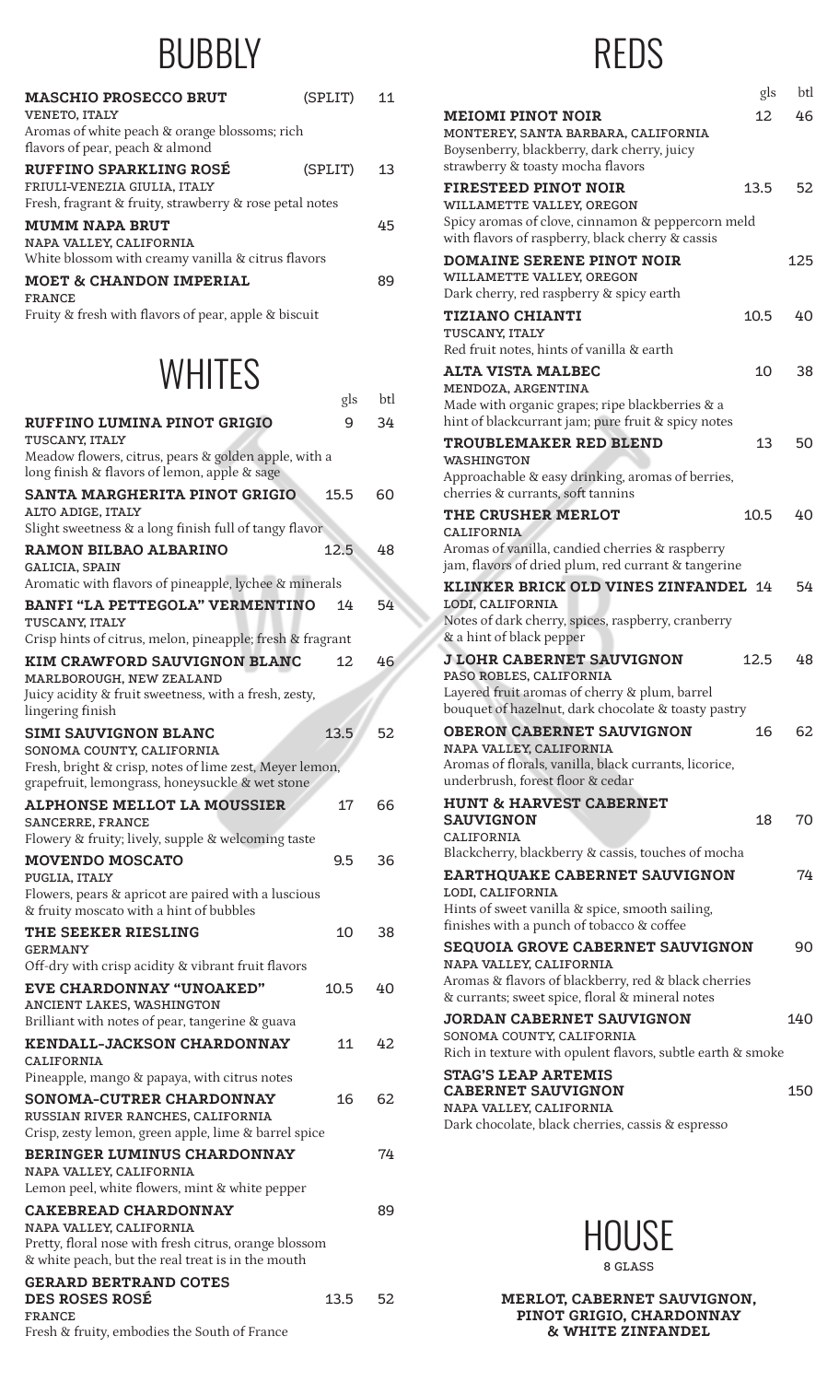## **BUBBLY**

| <b>MASCHIO PROSECCO BRUT</b><br><b>VENETO, ITALY</b><br>Aromas of white peach & orange blossoms; rich                    | (SPLIT) | 11 |
|--------------------------------------------------------------------------------------------------------------------------|---------|----|
| flavors of pear, peach & almond                                                                                          |         |    |
| <b>RUFFINO SPARKLING ROSÉ</b><br>FRIULI-VENEZIA GIULIA, ITALY<br>Fresh, fragrant & fruity, strawberry & rose petal notes | (SPLIT) | 13 |
| <b>MUMM NAPA BRUT</b><br>NAPA VALLEY, CALIFORNIA<br>White blossom with creamy vanilla & citrus flavors                   |         | 45 |
| <b>MOET &amp; CHANDON IMPERIAL</b><br><b>FRANCE</b><br>Fruity & fresh with flavors of pear, apple & biscuit              |         | 89 |

## **WHITES**

|                                                                                                                              | gls  | btl |
|------------------------------------------------------------------------------------------------------------------------------|------|-----|
| <b>RUFFINO LUMINA PINOT GRIGIO</b><br>TUSCANY, ITALY                                                                         | 9    | 34  |
| Meadow flowers, citrus, pears & golden apple, with a<br>long finish & flavors of lemon, apple & sage                         |      |     |
| <b>SANTA MARGHERITA PINOT GRIGIO</b><br>ALTO ADIGE, ITALY                                                                    | 15.5 | 60  |
| Slight sweetness & a long finish full of tangy flavor                                                                        |      |     |
| RAMON BILBAO ALBARINO<br>GALICIA, SPAIN                                                                                      | 12.5 | 48  |
| Aromatic with flavors of pineapple, lychee & minerals                                                                        |      |     |
| BANFI "LA PETTEGOLA" VERMENTINO<br>TUSCANY, ITALY                                                                            | 14   | 54  |
| Crisp hints of citrus, melon, pineapple; fresh & fragrant                                                                    |      |     |
| <b>KIM CRAWFORD SAUVIGNON BLANC</b><br>MARLBOROUGH, NEW ZEALAND<br>Juicy acidity & fruit sweetness, with a fresh, zesty,     | 12   | 46  |
| lingering finish                                                                                                             |      |     |
| <b>SIMI SAUVIGNON BLANC</b><br>SONOMA COUNTY, CALIFORNIA                                                                     | 13.5 | 52  |
| Fresh, bright & crisp, notes of lime zest, Meyer lemon,<br>grapefruit, lemongrass, honeysuckle & wet stone                   |      |     |
| <b>ALPHONSE MELLOT LA MOUSSIER</b><br><b>SANCERRE, FRANCE</b><br>Flowery & fruity; lively, supple & welcoming taste          | 17   | 66  |
| <b>MOVENDO MOSCATO</b><br>PUGLIA, ITALY                                                                                      | 9.5  | 36  |
| Flowers, pears & apricot are paired with a luscious<br>& fruity moscato with a hint of bubbles                               |      |     |
| <b>THE SEEKER RIESLING</b><br><b>GERMANY</b>                                                                                 | 10   | 38  |
| Off-dry with crisp acidity & vibrant fruit flavors                                                                           |      |     |
| <b>EVE CHARDONNAY "UNOAKED"</b><br>ANCIENT LAKES, WASHINGTON                                                                 | 10.5 | 40  |
| Brilliant with notes of pear, tangerine & guava                                                                              |      |     |
| <b>KENDALL-JACKSON CHARDONNAY</b><br><b>CALIFORNIA</b><br>Pineapple, mango & papaya, with citrus notes                       | 11   | 42  |
| <b>SONOMA-CUTRER CHARDONNAY</b><br>RUSSIAN RIVER RANCHES, CALIFORNIA<br>Crisp, zesty lemon, green apple, lime & barrel spice | 16   | 62  |
| <b>BERINGER LUMINUS CHARDONNAY</b>                                                                                           |      | 74  |
| NAPA VALLEY, CALIFORNIA<br>Lemon peel, white flowers, mint & white pepper                                                    |      |     |
| <b>CAKEBREAD CHARDONNAY</b><br>NAPA VALLEY, CALIFORNIA                                                                       |      | 89  |
| Pretty, floral nose with fresh citrus, orange blossom<br>& white peach, but the real treat is in the mouth                   |      |     |
| <b>GERARD BERTRAND COTES</b><br><b>DES ROSES ROSÉ</b><br><b>FRANCE</b>                                                       | 13.5 | 52  |

Fresh & fruity, embodies the South of France

# REDS

|                                                                                                                                                          | gls             | btl |
|----------------------------------------------------------------------------------------------------------------------------------------------------------|-----------------|-----|
| <b>MEIOMI PINOT NOIR</b><br>MONTEREY, SANTA BARBARA, CALIFORNIA<br>Boysenberry, blackberry, dark cherry, juicy                                           | 12 <sup>7</sup> | 46  |
| strawberry & toasty mocha flavors<br><b>FIRESTEED PINOT NOIR</b><br>WILLAMETTE VALLEY, OREGON                                                            | 13.5            | 52  |
| Spicy aromas of clove, cinnamon & peppercorn meld<br>with flavors of raspberry, black cherry & cassis                                                    |                 |     |
| <b>DOMAINE SERENE PINOT NOIR</b><br>WILLAMETTE VALLEY, OREGON<br>Dark cherry, red raspberry & spicy earth                                                |                 | 125 |
| <b>TIZIANO CHIANTI</b><br>TUSCANY, ITALY<br>Red fruit notes, hints of vanilla & earth                                                                    | 10.5            | 40  |
| <b>ALTA VISTA MALBEC</b><br>MENDOZA, ARGENTINA<br>Made with organic grapes; ripe blackberries & a                                                        | 10 <sup>1</sup> | 38  |
| hint of blackcurrant jam; pure fruit & spicy notes<br><b>TROUBLEMAKER RED BLEND</b><br>WASHINGTON                                                        | 13              | 50  |
| Approachable & easy drinking, aromas of berries,<br>cherries & currants, soft tannins<br><b>THE CRUSHER MERLOT</b>                                       | 10.5            | 40  |
| CALIFORNIA<br>Aromas of vanilla, candied cherries & raspberry<br>jam, flavors of dried plum, red currant & tangerine                                     |                 |     |
| KLINKER BRICK OLD VINES ZINFANDEL 14<br>LODI, CALIFORNIA<br>Notes of dark cherry, spices, raspberry, cranberry<br>& a hint of black pepper               |                 | 54  |
| <b>J LOHR CABERNET SAUVIGNON</b><br>PASO ROBLES, CALIFORNIA<br>Layered fruit aromas of cherry & plum, barrel                                             | 12.5            | 48  |
| bouquet of hazelnut, dark chocolate & toasty pastry<br><b>OBERON CABERNET SAUVIGNON</b><br>NAPA VALLEY, CALIFORNIA                                       | 16              | 62  |
| Aromas of florals, vanilla, black currants, licorice,<br>underbrush, forest floor & cedar<br><b>HUNT &amp; HARVEST CABERNET</b>                          |                 |     |
| <b>SAUVIGNON</b><br>CALIFORNIA<br>Blackcherry, blackberry & cassis, touches of mocha                                                                     | 18              | 70  |
| <b>EARTHQUAKE CABERNET SAUVIGNON</b><br>LODI, CALIFORNIA<br>Hints of sweet vanilla & spice, smooth sailing,<br>finishes with a punch of tobacco & coffee |                 | 74  |
| <b>SEQUOIA GROVE CABERNET SAUVIGNON</b><br>NAPA VALLEY, CALIFORNIA<br>Aromas & flavors of blackberry, red & black cherries                               |                 | 90  |
| & currants; sweet spice, floral & mineral notes<br><b>JORDAN CABERNET SAUVIGNON</b>                                                                      |                 | 140 |
| SONOMA COUNTY, CALIFORNIA<br>Rich in texture with opulent flavors, subtle earth & smoke<br><b>STAG'S LEAP ARTEMIS</b>                                    |                 |     |
| <b>CABERNET SAUVIGNON</b><br>NAPA VALLEY, CALIFORNIA<br>Dark chocolate, black cherries, cassis & espresso                                                |                 | 150 |



8 GLASS

MERLOT, CABERNET SAUVIGNON, PINOT GRIGIO, CHARDONNAY & WHITE ZINFANDEL